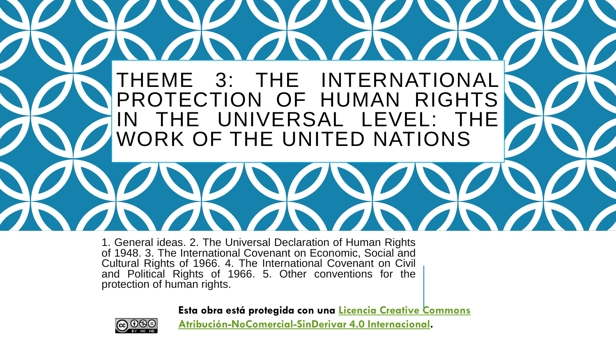

1. General ideas. 2. The Universal Declaration of Human Rights of 1948. 3. The International Covenant on Economic, Social and Cultural Rights of 1966. 4. The International Covenant on Civil and Political Rights of 1966. 5. Other conventions for the protection of human rights.

**Esta obra está protegida con una Licencia Creative Commons**



**[Atribución-NoComercial-SinDerivar](http://creativecommons.org/licenses/by-nc-nd/4.0/) 4.0 Internacional.**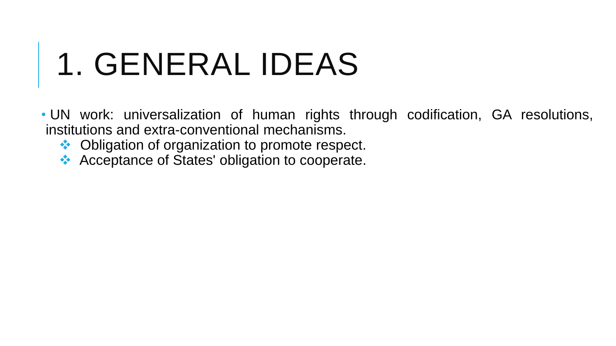# 1. GENERAL IDEAS

• UN work: universalization of human rights through codification, GA resolutions, institutions and extra-conventional mechanisms.

- ❖ Obligation of organization to promote respect.
- ❖ Acceptance of States' obligation to cooperate.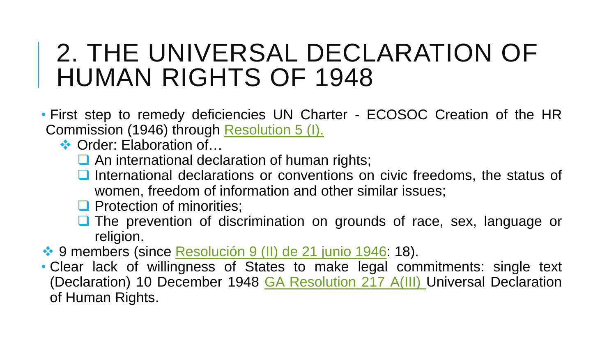## 2. THE UNIVERSAL DECLARATION OF HUMAN RIGHTS OF 1948

- First step to remedy deficiencies UN Charter ECOSOC Creation of the HR Commission (1946) through [Resolution](https://ap.ohchr.org/documents/dpage_e.aspx?si=a/hrc/res/5/1) 5 (I).
	- **❖ Order: Elaboration of...** 
		- **□** An international declaration of human rights;
		- International declarations or conventions on civic freedoms, the status of women, freedom of information and other similar issues;
		- □ Protection of minorities;
		- ❑ The prevention of discrimination on grounds of race, sex, language or religion.
- ◆ 9 members (since [Resolución](https://www.un.org/en/ga/search/view_doc.asp?symbol=E/RES/9(II)) 9 (II) de 21 junio 1946: 18).
- Clear lack of willingness of States to make legal commitments: single text (Declaration) 10 December 1948 GA [Resolution](https://undocs.org/en/A/RES/217(III)) 217 A(III) Universal Declaration of Human Rights.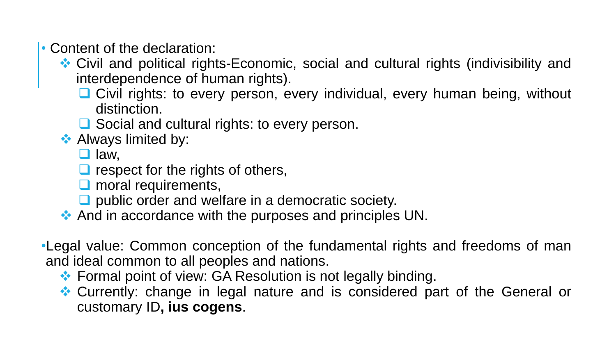- Content of the declaration:
	- ❖ Civil and political rights-Economic, social and cultural rights (indivisibility and interdependence of human rights).
		- Civil rights: to every person, every individual, every human being, without distinction.
		- ❑ Social and cultural rights: to every person.
	- **❖ Always limited by:** 
		- ❑ law,
		- $\Box$  respect for the rights of others,
		- □ moral requirements,
		- ❑ public order and welfare in a democratic society.
	- ❖ And in accordance with the purposes and principles UN.
- •Legal value: Common conception of the fundamental rights and freedoms of man and ideal common to all peoples and nations.
	- ❖ Formal point of view: GA Resolution is not legally binding.
	- ❖ Currently: change in legal nature and is considered part of the General or customary ID**, ius cogens**.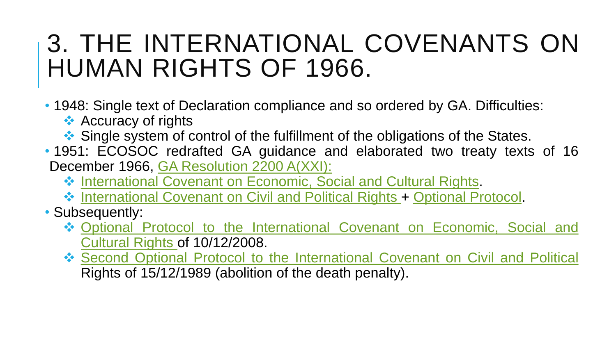## 3. THE INTERNATIONAL COVENANTS ON HUMAN RIGHTS OF 1966.

- 1948: Single text of Declaration compliance and so ordered by GA. Difficulties:
	- **❖ Accuracy of rights**
	- ❖ Single system of control of the fulfillment of the obligations of the States.
- 1951: ECOSOC redrafted GA guidance and elaborated two treaty texts of 16 December 1966, GA [Resolution](http://www.un-documents.net/a21r2200.htm) 2200 A(XXI):
	- ❖ [International](https://www.ohchr.org/EN/ProfessionalInterest/Pages/CESCR.aspx) Covenant on Economic, Social and Cultural Rights.
	- ❖ [International](https://www.ohchr.org/EN/ProfessionalInterest/Pages/CCPR.aspx) Covenant on Civil and Political Rights + [Optional](https://www.ohchr.org/EN/ProfessionalInterest/Pages/OPCCPR1.aspx) Protocol.
- Subsequently:
	- ❖ Optional Protocol to the International Covenant on Economic, Social and Cultural Rights of [10/12/2008.](https://www.ohchr.org/EN/ProfessionalInterest/Pages/OPCESCR.aspx)
	- ❖ Second Optional Protocol to the [International](https://www.ohchr.org/EN/ProfessionalInterest/Pages/2ndOPCCPR.aspx) Covenant on Civil and Political Rights of 15/12/1989 (abolition of the death penalty).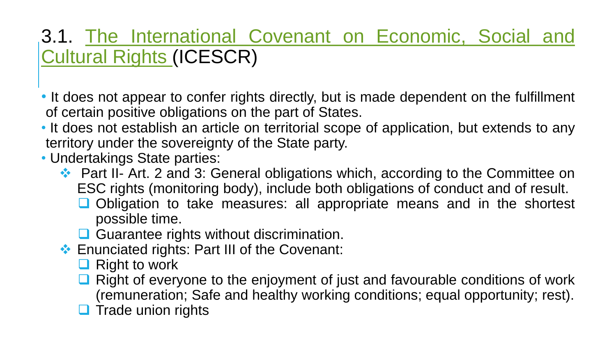#### 3.1. The [International](https://www.ohchr.org/EN/ProfessionalInterest/Pages/CESCR.aspx) Covenant on Economic, Social and Cultural Rights (ICESCR)

- It does not appear to confer rights directly, but is made dependent on the fulfillment of certain positive obligations on the part of States.
- It does not establish an article on territorial scope of application, but extends to any territory under the sovereignty of the State party.
- Undertakings State parties:
	- ❖ Part II- Art. 2 and 3: General obligations which, according to the Committee on ESC rights (monitoring body), include both obligations of conduct and of result.
		- ❑ Obligation to take measures: all appropriate means and in the shortest possible time.
		- **□** Guarantee rights without discrimination.
	- ❖ Enunciated rights: Part III of the Covenant:
		- ❑ Right to work
		- Right of everyone to the enjoyment of just and favourable conditions of work (remuneration; Safe and healthy working conditions; equal opportunity; rest).
		- **□** Trade union rights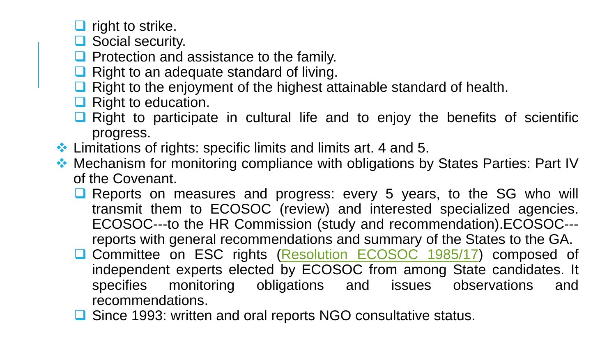■ right to strike.

- Social security.
- Protection and assistance to the family.
- ❑ Right to an adequate standard of living.
- Right to the enjoyment of the highest attainable standard of health.
- **□** Right to education.
- Right to participate in cultural life and to enjoy the benefits of scientific progress.
- ❖ Limitations of rights: specific limits and limits art. 4 and 5.
- ❖ Mechanism for monitoring compliance with obligations by States Parties: Part IV of the Covenant.
	- Reports on measures and progress: every 5 years, to the SG who will transmit them to ECOSOC (review) and interested specialized agencies. ECOSOC---to the HR Commission (study and recommendation).ECOSOC-- reports with general recommendations and summary of the States to the GA.
	- ❑ Committee on ESC rights [\(Resolution](https://drive.google.com/file/d/1LhEGlPMUIfZ_GjcUB_Nn-QbsEzSXEytP/view?usp=sharing) ECOSOC 1985/17) composed of independent experts elected by ECOSOC from among State candidates. It specifies monitoring obligations and issues observations and recommendations.
	- ❑ Since 1993: written and oral reports NGO consultative status.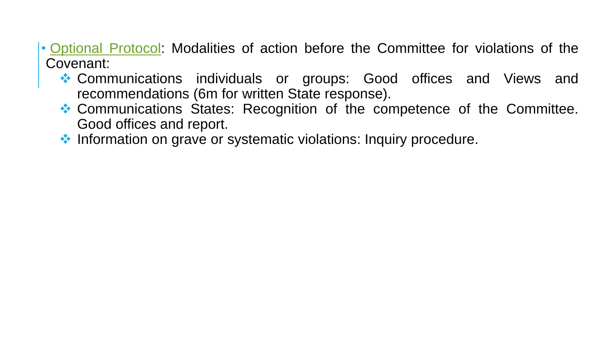- [Optional](https://www.ohchr.org/EN/ProfessionalInterest/Pages/OPCESCR.aspx) Protocol: Modalities of action before the Committee for violations of the Covenant:
	- ❖ Communications individuals or groups: Good offices and Views and recommendations (6m for written State response).
	- ❖ Communications States: Recognition of the competence of the Committee. Good offices and report.
	- ❖ Information on grave or systematic violations: Inquiry procedure.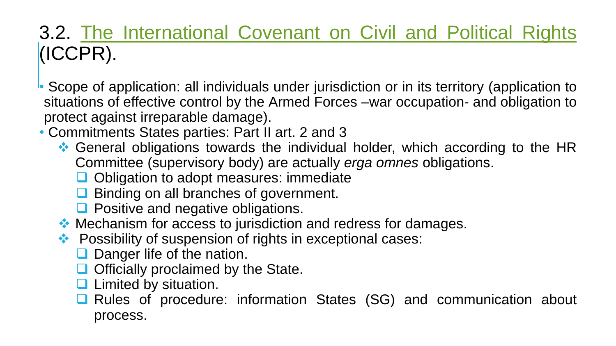### 3.2. The [International](https://www.ohchr.org/EN/ProfessionalInterest/Pages/CCPR.aspx) Covenant on Civil and Political Rights (ICCPR).

• Scope of application: all individuals under jurisdiction or in its territory (application to situations of effective control by the Armed Forces –war occupation- and obligation to protect against irreparable damage).

• Commitments States parties: Part II art. 2 and 3

- ❖ General obligations towards the individual holder, which according to the HR Committee (supervisory body) are actually *erga omnes* obligations.
	- ❑ Obligation to adopt measures: immediate
	- ❑ Binding on all branches of government.
	- Positive and negative obligations.
- ❖ Mechanism for access to jurisdiction and redress for damages.
- ❖ Possibility of suspension of rights in exceptional cases:
	- Danger life of the nation.
	- ❑ Officially proclaimed by the State.
	- □ Limited by situation.
	- ❑ Rules of procedure: information States (SG) and communication about process.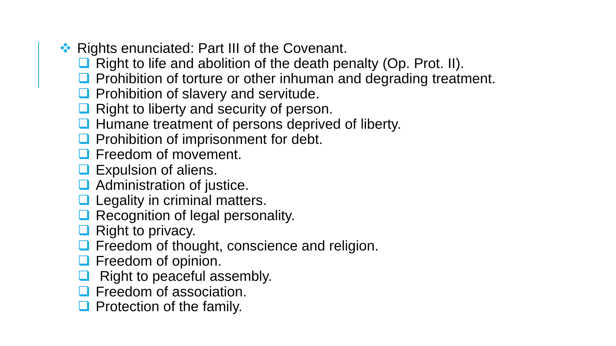- ❖ Rights enunciated: Part III of the Covenant.
	- ❑ Right to life and abolition of the death penalty (Op. Prot. II).
	- Prohibition of torture or other inhuman and degrading treatment.
	- ❑ Prohibition of slavery and servitude.
	- **□** Right to liberty and security of person.
	- ❑ Humane treatment of persons deprived of liberty.
	- Prohibition of imprisonment for debt.
	- **□ Freedom of movement.**
	- **□** Expulsion of aliens.
	- Administration of justice.
	- □ Legality in criminal matters.
	- Recognition of legal personality.
	- ❑ Right to privacy.
	- ❑ Freedom of thought, conscience and religion.
	- **□** Freedom of opinion.
	- Right to peaceful assembly.
	- ❑ Freedom of association.
	- Protection of the family.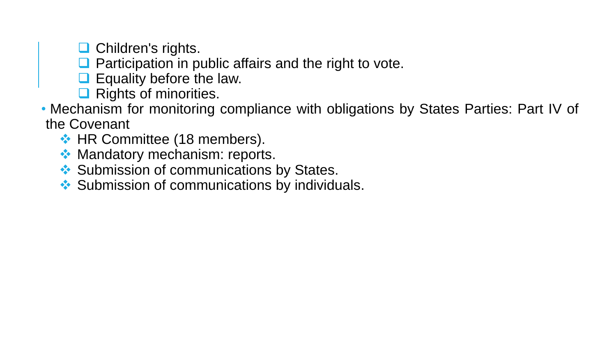❑ Children's rights.

- Participation in public affairs and the right to vote.
- ❑ Equality before the law.
- Rights of minorities.
- Mechanism for monitoring compliance with obligations by States Parties: Part IV of the Covenant
	- ❖ HR Committee (18 members).
	- ❖ Mandatory mechanism: reports.
	- **❖ Submission of communications by States.**
	- ❖ Submission of communications by individuals.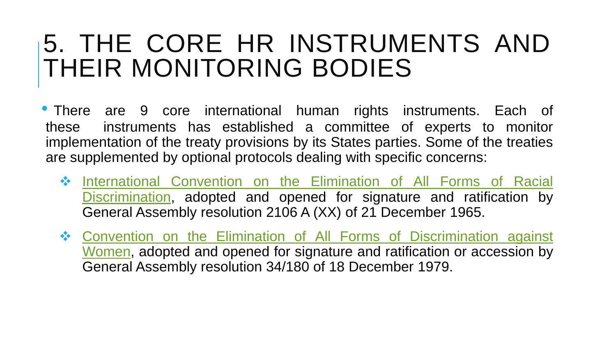## 5. THE CORE HR INSTRUMENTS AND THEIR MONITORING BODIES

• There are 9 core international human rights instruments. Each of these instruments has established a committee of experts to monitor implementation of the treaty provisions by its States parties. Some of the treaties are supplemented by optional protocols dealing with specific concerns:

- ❖ International Convention on the Elimination of All Forms of Racial [Discrimination,](https://www.ohchr.org/EN/ProfessionalInterest/Pages/CERD.aspx) adopted and opened for signature and ratification by General Assembly resolution 2106 A (XX) of 21 December 1965.
- ❖ Convention on the Elimination of All Forms of [Discrimination](https://www.ohchr.org/EN/ProfessionalInterest/Pages/CEDAW.aspx) against Women, adopted and opened for signature and ratification or accession by General Assembly resolution 34/180 of 18 December 1979.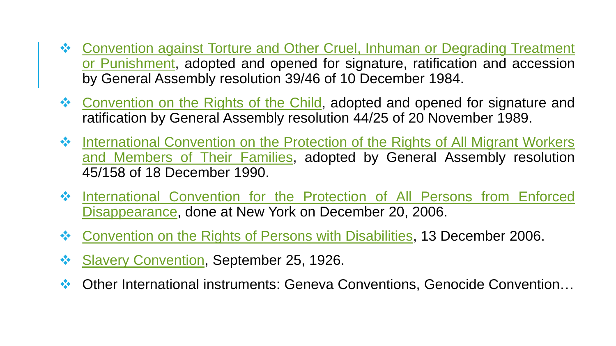- ❖ Convention against Torture and Other Cruel, Inhuman or Degrading Treatment or [Punishment,](https://www.ohchr.org/EN/ProfessionalInterest/Pages/CAT.aspx) adopted and opened for signature, ratification and accession by General Assembly resolution 39/46 of 10 December 1984.
- ❖ [Convention](https://www.ohchr.org/EN/ProfessionalInterest/Pages/CRC.aspx) on the Rights of the Child, adopted and opened for signature and ratification by General Assembly resolution 44/25 of 20 November 1989.
- ❖ [International](https://www.ohchr.org/EN/ProfessionalInterest/Pages/CMW.aspx) Convention on the Protection of the Rights of All Migrant Workers and Members of Their Families, adopted by General Assembly resolution 45/158 of 18 December 1990.
- ❖ International Convention for the Protection of All Persons from Enforced [Disappearance,](https://www.ohchr.org/EN/HRBodies/CED/Pages/ConventionCED.aspx) done at New York on December 20, 2006.
- ❖ [Convention](https://www.ohchr.org/EN/HRBodies/CRPD/Pages/ConventionRightsPersonsWithDisabilities.aspx) on the Rights of Persons with Disabilities, 13 December 2006.
- ❖ Slavery [Convention,](https://www.ohchr.org/en/professionalinterest/pages/slaveryconvention.aspx) September 25, 1926.
- ❖ Other International instruments: Geneva Conventions, Genocide Convention…